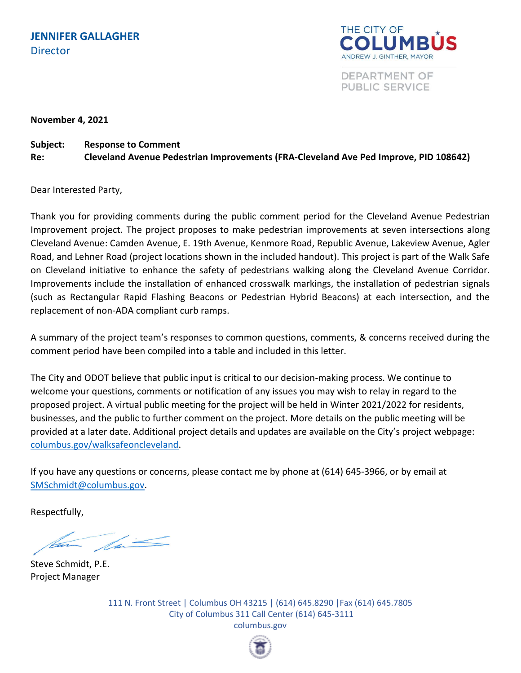

DEPARTMENT OF **PUBLIC SERVICE** 

**November 4, 2021**

## **Subject: Response to Comment**

**Re: Cleveland Avenue Pedestrian Improvements (FRA-Cleveland Ave Ped Improve, PID 108642)**

Dear Interested Party,

Thank you for providing comments during the public comment period for the Cleveland Avenue Pedestrian Improvement project. The project proposes to make pedestrian improvements at seven intersections along Cleveland Avenue: Camden Avenue, E. 19th Avenue, Kenmore Road, Republic Avenue, Lakeview Avenue, Agler Road, and Lehner Road (project locations shown in the included handout). This project is part of the Walk Safe on Cleveland initiative to enhance the safety of pedestrians walking along the Cleveland Avenue Corridor. Improvements include the installation of enhanced crosswalk markings, the installation of pedestrian signals (such as Rectangular Rapid Flashing Beacons or Pedestrian Hybrid Beacons) at each intersection, and the replacement of non-ADA compliant curb ramps.

A summary of the project team's responses to common questions, comments, & concerns received during the comment period have been compiled into a table and included in this letter.

The City and ODOT believe that public input is critical to our decision-making process. We continue to welcome your questions, comments or notification of any issues you may wish to relay in regard to the proposed project. A virtual public meeting for the project will be held in Winter 2021/2022 for residents, businesses, and the public to further comment on the project. More details on the public meeting will be provided at a later date. Additional project details and updates are available on the City's project webpage: [columbus.gov/walksafeoncleveland.](http://www.columbus.gov/walksafeoncleveland/)

If you have any questions or concerns, please contact me by phone at (614) 645-3966, or by email at [SMSchmidt@columbus.gov.](mailto:SMSchmidt@columbus.gov)

Respectfully,

 $\frac{1}{\sqrt{2\pi}}$ 

Steve Schmidt, P.E. Project Manager

111 N. Front Street | Columbus OH 43215 | (614) 645.8290 |Fax (614) 645.7805 City of Columbus 311 Call Center (614) 645-3111 columbus.gov

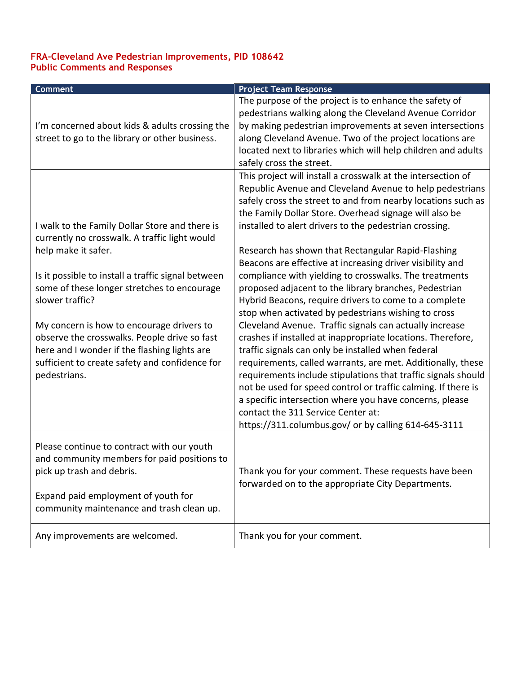## **FRA-Cleveland Ave Pedestrian Improvements, PID 108642 Public Comments and Responses**

| <b>Comment</b>                                                                                                                                                                                                                                                                                                                                                                                              | <b>Project Team Response</b>                                                                                                                                                                                                                                                                                                                                                                                                                                                                                                                                                                                                                                                                                                                                                                                                                                                                 |
|-------------------------------------------------------------------------------------------------------------------------------------------------------------------------------------------------------------------------------------------------------------------------------------------------------------------------------------------------------------------------------------------------------------|----------------------------------------------------------------------------------------------------------------------------------------------------------------------------------------------------------------------------------------------------------------------------------------------------------------------------------------------------------------------------------------------------------------------------------------------------------------------------------------------------------------------------------------------------------------------------------------------------------------------------------------------------------------------------------------------------------------------------------------------------------------------------------------------------------------------------------------------------------------------------------------------|
| I'm concerned about kids & adults crossing the<br>street to go to the library or other business.                                                                                                                                                                                                                                                                                                            | The purpose of the project is to enhance the safety of<br>pedestrians walking along the Cleveland Avenue Corridor<br>by making pedestrian improvements at seven intersections<br>along Cleveland Avenue. Two of the project locations are<br>located next to libraries which will help children and adults<br>safely cross the street.<br>This project will install a crosswalk at the intersection of<br>Republic Avenue and Cleveland Avenue to help pedestrians<br>safely cross the street to and from nearby locations such as<br>the Family Dollar Store. Overhead signage will also be                                                                                                                                                                                                                                                                                                 |
| I walk to the Family Dollar Store and there is                                                                                                                                                                                                                                                                                                                                                              | installed to alert drivers to the pedestrian crossing.                                                                                                                                                                                                                                                                                                                                                                                                                                                                                                                                                                                                                                                                                                                                                                                                                                       |
| currently no crosswalk. A traffic light would<br>help make it safer.<br>Is it possible to install a traffic signal between<br>some of these longer stretches to encourage<br>slower traffic?<br>My concern is how to encourage drivers to<br>observe the crosswalks. People drive so fast<br>here and I wonder if the flashing lights are<br>sufficient to create safety and confidence for<br>pedestrians. | Research has shown that Rectangular Rapid-Flashing<br>Beacons are effective at increasing driver visibility and<br>compliance with yielding to crosswalks. The treatments<br>proposed adjacent to the library branches, Pedestrian<br>Hybrid Beacons, require drivers to come to a complete<br>stop when activated by pedestrians wishing to cross<br>Cleveland Avenue. Traffic signals can actually increase<br>crashes if installed at inappropriate locations. Therefore,<br>traffic signals can only be installed when federal<br>requirements, called warrants, are met. Additionally, these<br>requirements include stipulations that traffic signals should<br>not be used for speed control or traffic calming. If there is<br>a specific intersection where you have concerns, please<br>contact the 311 Service Center at:<br>https://311.columbus.gov/ or by calling 614-645-3111 |
| Please continue to contract with our youth<br>and community members for paid positions to<br>pick up trash and debris.<br>Expand paid employment of youth for<br>community maintenance and trash clean up.                                                                                                                                                                                                  | Thank you for your comment. These requests have been<br>forwarded on to the appropriate City Departments.                                                                                                                                                                                                                                                                                                                                                                                                                                                                                                                                                                                                                                                                                                                                                                                    |
| Any improvements are welcomed.                                                                                                                                                                                                                                                                                                                                                                              | Thank you for your comment.                                                                                                                                                                                                                                                                                                                                                                                                                                                                                                                                                                                                                                                                                                                                                                                                                                                                  |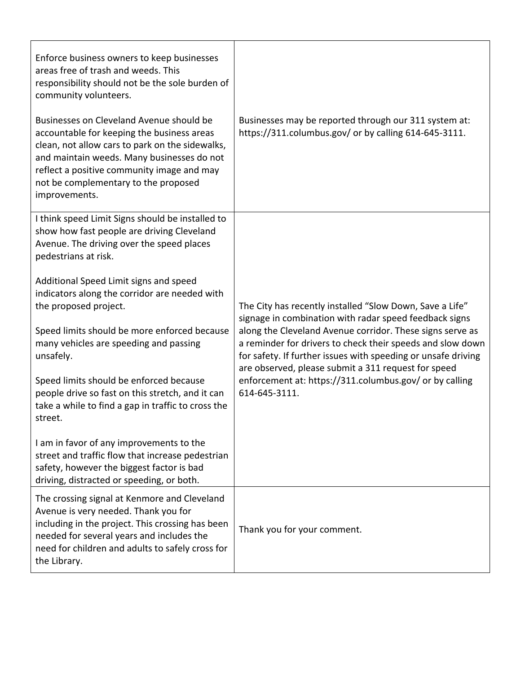| Enforce business owners to keep businesses<br>areas free of trash and weeds. This<br>responsibility should not be the sole burden of<br>community volunteers.<br>Businesses on Cleveland Avenue should be<br>accountable for keeping the business areas<br>clean, not allow cars to park on the sidewalks,<br>and maintain weeds. Many businesses do not<br>reflect a positive community image and may<br>not be complementary to the proposed<br>improvements. | Businesses may be reported through our 311 system at:<br>https://311.columbus.gov/ or by calling 614-645-3111.                                                                                                                                  |
|-----------------------------------------------------------------------------------------------------------------------------------------------------------------------------------------------------------------------------------------------------------------------------------------------------------------------------------------------------------------------------------------------------------------------------------------------------------------|-------------------------------------------------------------------------------------------------------------------------------------------------------------------------------------------------------------------------------------------------|
| I think speed Limit Signs should be installed to<br>show how fast people are driving Cleveland<br>Avenue. The driving over the speed places<br>pedestrians at risk.                                                                                                                                                                                                                                                                                             |                                                                                                                                                                                                                                                 |
| Additional Speed Limit signs and speed<br>indicators along the corridor are needed with<br>the proposed project.                                                                                                                                                                                                                                                                                                                                                | The City has recently installed "Slow Down, Save a Life"<br>signage in combination with radar speed feedback signs                                                                                                                              |
| Speed limits should be more enforced because<br>many vehicles are speeding and passing<br>unsafely.                                                                                                                                                                                                                                                                                                                                                             | along the Cleveland Avenue corridor. These signs serve as<br>a reminder for drivers to check their speeds and slow down<br>for safety. If further issues with speeding or unsafe driving<br>are observed, please submit a 311 request for speed |
| Speed limits should be enforced because<br>people drive so fast on this stretch, and it can<br>take a while to find a gap in traffic to cross the<br>street.                                                                                                                                                                                                                                                                                                    | enforcement at: https://311.columbus.gov/ or by calling<br>614-645-3111.                                                                                                                                                                        |
| I am in favor of any improvements to the<br>street and traffic flow that increase pedestrian<br>safety, however the biggest factor is bad<br>driving, distracted or speeding, or both.                                                                                                                                                                                                                                                                          |                                                                                                                                                                                                                                                 |
| The crossing signal at Kenmore and Cleveland<br>Avenue is very needed. Thank you for<br>including in the project. This crossing has been<br>needed for several years and includes the<br>need for children and adults to safely cross for<br>the Library.                                                                                                                                                                                                       | Thank you for your comment.                                                                                                                                                                                                                     |